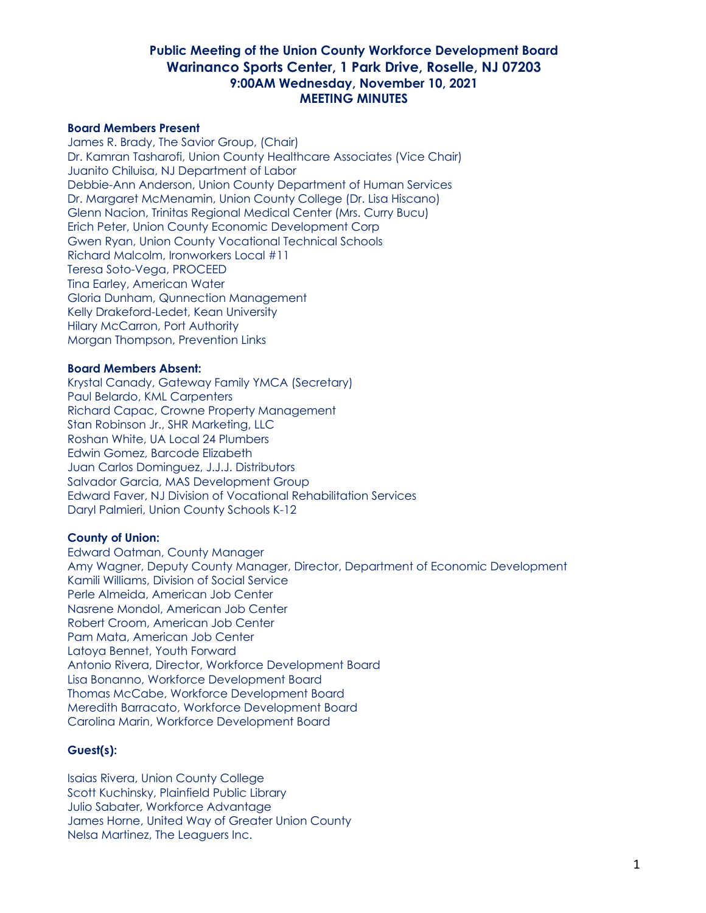#### **Board Members Present**

James R. Brady, The Savior Group, (Chair) Dr. Kamran Tasharofi, Union County Healthcare Associates (Vice Chair) Juanito Chiluisa, NJ Department of Labor Debbie-Ann Anderson, Union County Department of Human Services Dr. Margaret McMenamin, Union County College (Dr. Lisa Hiscano) Glenn Nacion, Trinitas Regional Medical Center (Mrs. Curry Bucu) Erich Peter, Union County Economic Development Corp Gwen Ryan, Union County Vocational Technical Schools Richard Malcolm, Ironworkers Local #11 Teresa Soto-Vega, PROCEED Tina Earley, American Water Gloria Dunham, Qunnection Management Kelly Drakeford-Ledet, Kean University Hilary McCarron, Port Authority Morgan Thompson, Prevention Links

#### **Board Members Absent:**

Krystal Canady, Gateway Family YMCA (Secretary) Paul Belardo, KML Carpenters Richard Capac, Crowne Property Management Stan Robinson Jr., SHR Marketing, LLC Roshan White, UA Local 24 Plumbers Edwin Gomez, Barcode Elizabeth Juan Carlos Dominguez, J.J.J. Distributors Salvador Garcia, MAS Development Group Edward Faver, NJ Division of Vocational Rehabilitation Services Daryl Palmieri, Union County Schools K-12

#### **County of Union:**

Edward Oatman, County Manager Amy Wagner, Deputy County Manager, Director, Department of Economic Development Kamili Williams, Division of Social Service Perle Almeida, American Job Center Nasrene Mondol, American Job Center Robert Croom, American Job Center Pam Mata, American Job Center Latoya Bennet, Youth Forward Antonio Rivera, Director, Workforce Development Board Lisa Bonanno, Workforce Development Board Thomas McCabe, Workforce Development Board Meredith Barracato, Workforce Development Board Carolina Marin, Workforce Development Board

#### **Guest(s):**

Isaias Rivera, Union County College Scott Kuchinsky, Plainfield Public Library Julio Sabater, Workforce Advantage James Horne, United Way of Greater Union County Nelsa Martinez, The Leaguers Inc.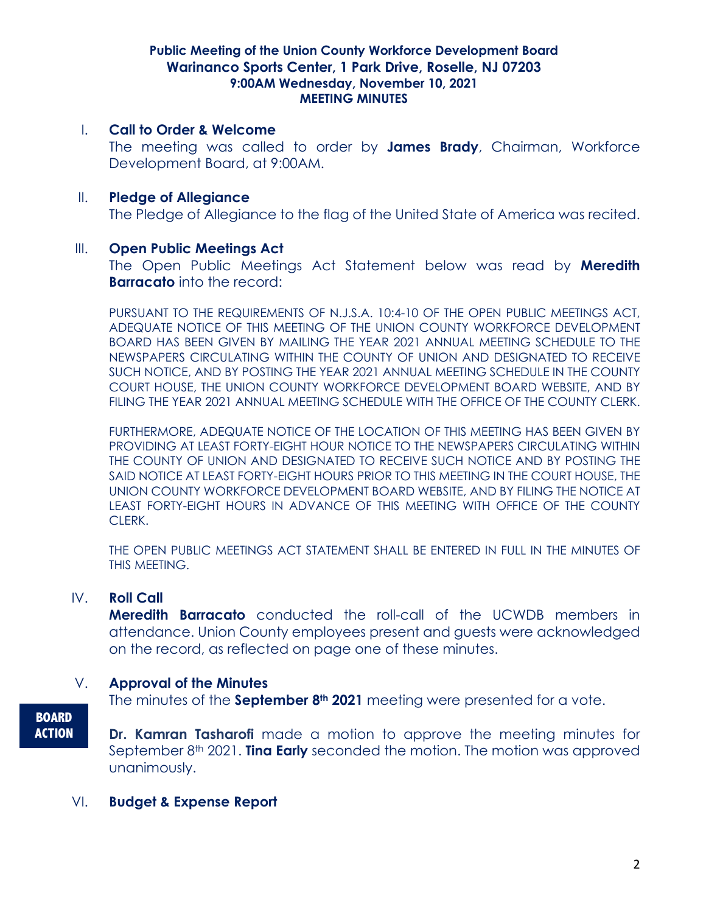### I. **Call to Order & Welcome**

The meeting was called to order by **James Brady**, Chairman, Workforce Development Board, at 9:00AM.

# II. **Pledge of Allegiance**

The Pledge of Allegiance to the flag of the United State of America was recited.

#### III. **Open Public Meetings Act**

The Open Public Meetings Act Statement below was read by **Meredith Barracato** into the record:

PURSUANT TO THE REQUIREMENTS OF N.J.S.A. 10:4-10 OF THE OPEN PUBLIC MEETINGS ACT, ADEQUATE NOTICE OF THIS MEETING OF THE UNION COUNTY WORKFORCE DEVELOPMENT BOARD HAS BEEN GIVEN BY MAILING THE YEAR 2021 ANNUAL MEETING SCHEDULE TO THE NEWSPAPERS CIRCULATING WITHIN THE COUNTY OF UNION AND DESIGNATED TO RECEIVE SUCH NOTICE, AND BY POSTING THE YEAR 2021 ANNUAL MEETING SCHEDULE IN THE COUNTY COURT HOUSE, THE UNION COUNTY WORKFORCE DEVELOPMENT BOARD WEBSITE, AND BY FILING THE YEAR 2021 ANNUAL MEETING SCHEDULE WITH THE OFFICE OF THE COUNTY CLERK.

FURTHERMORE, ADEQUATE NOTICE OF THE LOCATION OF THIS MEETING HAS BEEN GIVEN BY PROVIDING AT LEAST FORTY-EIGHT HOUR NOTICE TO THE NEWSPAPERS CIRCULATING WITHIN THE COUNTY OF UNION AND DESIGNATED TO RECEIVE SUCH NOTICE AND BY POSTING THE SAID NOTICE AT LEAST FORTY-EIGHT HOURS PRIOR TO THIS MEETING IN THE COURT HOUSE, THE UNION COUNTY WORKFORCE DEVELOPMENT BOARD WEBSITE, AND BY FILING THE NOTICE AT LEAST FORTY-EIGHT HOURS IN ADVANCE OF THIS MEETING WITH OFFICE OF THE COUNTY CLERK.

THE OPEN PUBLIC MEETINGS ACT STATEMENT SHALL BE ENTERED IN FULL IN THE MINUTES OF THIS MEETING.

# IV. **Roll Call**

**Meredith Barracato** conducted the roll-call of the UCWDB members in attendance. Union County employees present and guests were acknowledged on the record, as reflected on page one of these minutes.

# V. **Approval of the Minutes**

The minutes of the **September 8th 2021** meeting were presented for a vote.

**Dr. Kamran Tasharofi** made a motion to approve the meeting minutes for September 8<sup>th</sup> 2021. **Ting Early** seconded the motion. The motion was approved unanimously.

# VI. **Budget & Expense Report**

**BOARD ACTION**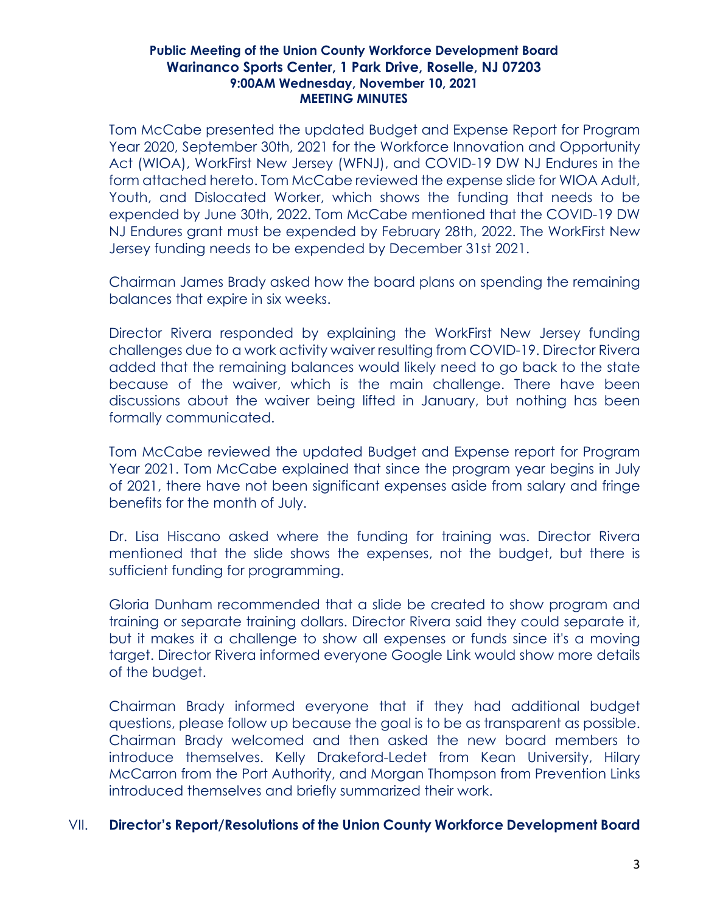Tom McCabe presented the updated Budget and Expense Report for Program Year 2020, September 30th, 2021 for the Workforce Innovation and Opportunity Act (WIOA), WorkFirst New Jersey (WFNJ), and COVID-19 DW NJ Endures in the form attached hereto. Tom McCabe reviewed the expense slide for WIOA Adult, Youth, and Dislocated Worker, which shows the funding that needs to be expended by June 30th, 2022. Tom McCabe mentioned that the COVID-19 DW NJ Endures grant must be expended by February 28th, 2022. The WorkFirst New Jersey funding needs to be expended by December 31st 2021.

Chairman James Brady asked how the board plans on spending the remaining balances that expire in six weeks.

Director Rivera responded by explaining the WorkFirst New Jersey funding challenges due to a work activity waiver resulting from COVID-19. Director Rivera added that the remaining balances would likely need to go back to the state because of the waiver, which is the main challenge. There have been discussions about the waiver being lifted in January, but nothing has been formally communicated.

Tom McCabe reviewed the updated Budget and Expense report for Program Year 2021. Tom McCabe explained that since the program year begins in July of 2021, there have not been significant expenses aside from salary and fringe benefits for the month of July.

Dr. Lisa Hiscano asked where the funding for training was. Director Rivera mentioned that the slide shows the expenses, not the budget, but there is sufficient funding for programming.

Gloria Dunham recommended that a slide be created to show program and training or separate training dollars. Director Rivera said they could separate it, but it makes it a challenge to show all expenses or funds since it's a moving target. Director Rivera informed everyone Google Link would show more details of the budget.

Chairman Brady informed everyone that if they had additional budget questions, please follow up because the goal is to be as transparent as possible. Chairman Brady welcomed and then asked the new board members to introduce themselves. Kelly Drakeford-Ledet from Kean University, Hilary McCarron from the Port Authority, and Morgan Thompson from Prevention Links introduced themselves and briefly summarized their work.

# VII. **Director's Report/Resolutions of the Union County Workforce Development Board**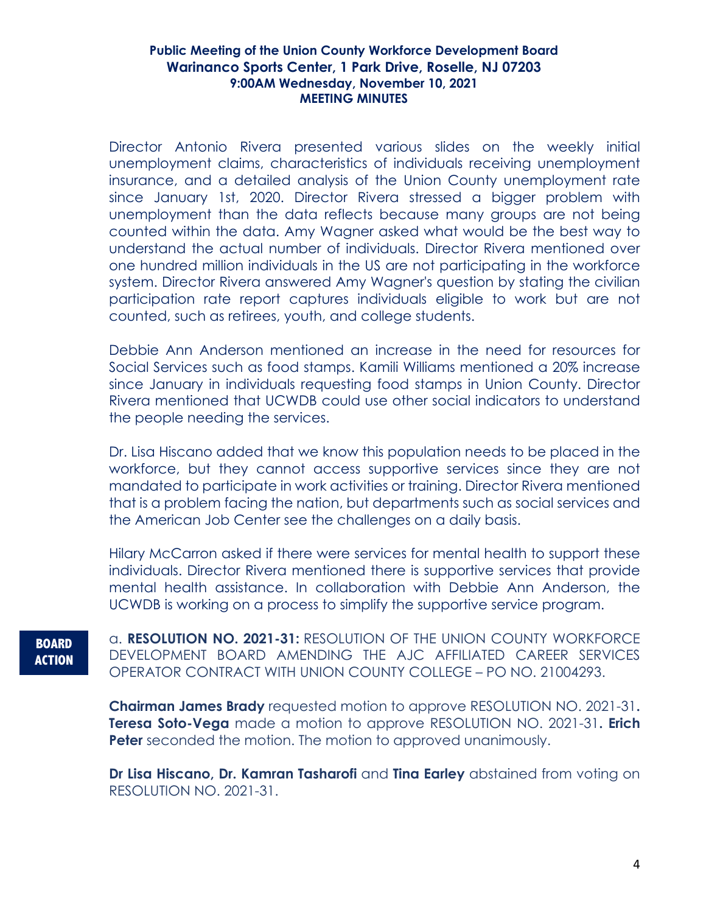Director Antonio Rivera presented various slides on the weekly initial unemployment claims, characteristics of individuals receiving unemployment insurance, and a detailed analysis of the Union County unemployment rate since January 1st, 2020. Director Rivera stressed a bigger problem with unemployment than the data reflects because many groups are not being counted within the data. Amy Wagner asked what would be the best way to understand the actual number of individuals. Director Rivera mentioned over one hundred million individuals in the US are not participating in the workforce system. Director Rivera answered Amy Wagner's question by stating the civilian participation rate report captures individuals eligible to work but are not counted, such as retirees, youth, and college students.

Debbie Ann Anderson mentioned an increase in the need for resources for Social Services such as food stamps. Kamili Williams mentioned a 20% increase since January in individuals requesting food stamps in Union County. Director Rivera mentioned that UCWDB could use other social indicators to understand the people needing the services.

Dr. Lisa Hiscano added that we know this population needs to be placed in the workforce, but they cannot access supportive services since they are not mandated to participate in work activities or training. Director Rivera mentioned that is a problem facing the nation, but departments such as social services and the American Job Center see the challenges on a daily basis.

Hilary McCarron asked if there were services for mental health to support these individuals. Director Rivera mentioned there is supportive services that provide mental health assistance. In collaboration with Debbie Ann Anderson, the UCWDB is working on a process to simplify the supportive service program.

**BOARD ACTION** a. **RESOLUTION NO. 2021-31:** RESOLUTION OF THE UNION COUNTY WORKFORCE DEVELOPMENT BOARD AMENDING THE AJC AFFILIATED CAREER SERVICES OPERATOR CONTRACT WITH UNION COUNTY COLLEGE – PO NO. 21004293.

**Chairman James Brady** requested motion to approve RESOLUTION NO. 2021-31**. Teresa Soto-Vega** made a motion to approve RESOLUTION NO. 2021-31**. Erich Peter** seconded the motion. The motion to approved unanimously.

**Dr Lisa Hiscano, Dr. Kamran Tasharofi** and **Tina Earley** abstained from voting on RESOLUTION NO. 2021-31.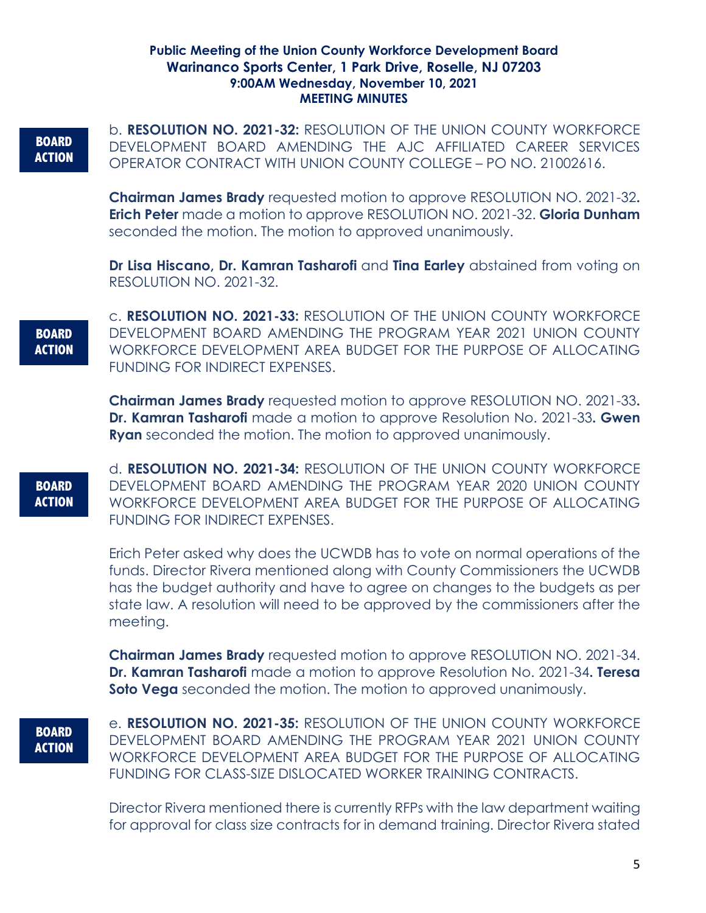# **BOARD ACTION**

b. **RESOLUTION NO. 2021-32:** RESOLUTION OF THE UNION COUNTY WORKFORCE DEVELOPMENT BOARD AMENDING THE AJC AFFILIATED CAREER SERVICES OPERATOR CONTRACT WITH UNION COUNTY COLLEGE – PO NO. 21002616.

**Chairman James Brady** requested motion to approve RESOLUTION NO. 2021-32**. Erich Peter** made a motion to approve RESOLUTION NO. 2021-32. **Gloria Dunham** seconded the motion. The motion to approved unanimously.

**Dr Lisa Hiscano, Dr. Kamran Tasharofi** and **Tina Earley** abstained from voting on RESOLUTION NO. 2021-32.

**BOARD ACTION** c. **RESOLUTION NO. 2021-33:** RESOLUTION OF THE UNION COUNTY WORKFORCE DEVELOPMENT BOARD AMENDING THE PROGRAM YEAR 2021 UNION COUNTY WORKFORCE DEVELOPMENT AREA BUDGET FOR THE PURPOSE OF ALLOCATING FUNDING FOR INDIRECT EXPENSES.

**Chairman James Brady** requested motion to approve RESOLUTION NO. 2021-33**. Dr. Kamran Tasharofi** made a motion to approve Resolution No. 2021-33**. Gwen Ryan** seconded the motion. The motion to approved unanimously.

**BOARD ACTION** d. **RESOLUTION NO. 2021-34:** RESOLUTION OF THE UNION COUNTY WORKFORCE DEVELOPMENT BOARD AMENDING THE PROGRAM YEAR 2020 UNION COUNTY WORKFORCE DEVELOPMENT AREA BUDGET FOR THE PURPOSE OF ALLOCATING FUNDING FOR INDIRECT EXPENSES.

Erich Peter asked why does the UCWDB has to vote on normal operations of the funds. Director Rivera mentioned along with County Commissioners the UCWDB has the budget authority and have to agree on changes to the budgets as per state law. A resolution will need to be approved by the commissioners after the meeting.

**Chairman James Brady** requested motion to approve RESOLUTION NO. 2021-34. **Dr. Kamran Tasharofi** made a motion to approve Resolution No. 2021-34**. Teresa Soto Vega** seconded the motion. The motion to approved unanimously.

**BOARD ACTION** e. **RESOLUTION NO. 2021-35:** RESOLUTION OF THE UNION COUNTY WORKFORCE DEVELOPMENT BOARD AMENDING THE PROGRAM YEAR 2021 UNION COUNTY WORKFORCE DEVELOPMENT AREA BUDGET FOR THE PURPOSE OF ALLOCATING FUNDING FOR CLASS-SIZE DISLOCATED WORKER TRAINING CONTRACTS.

Director Rivera mentioned there is currently RFPs with the law department waiting for approval for class size contracts for in demand training. Director Rivera stated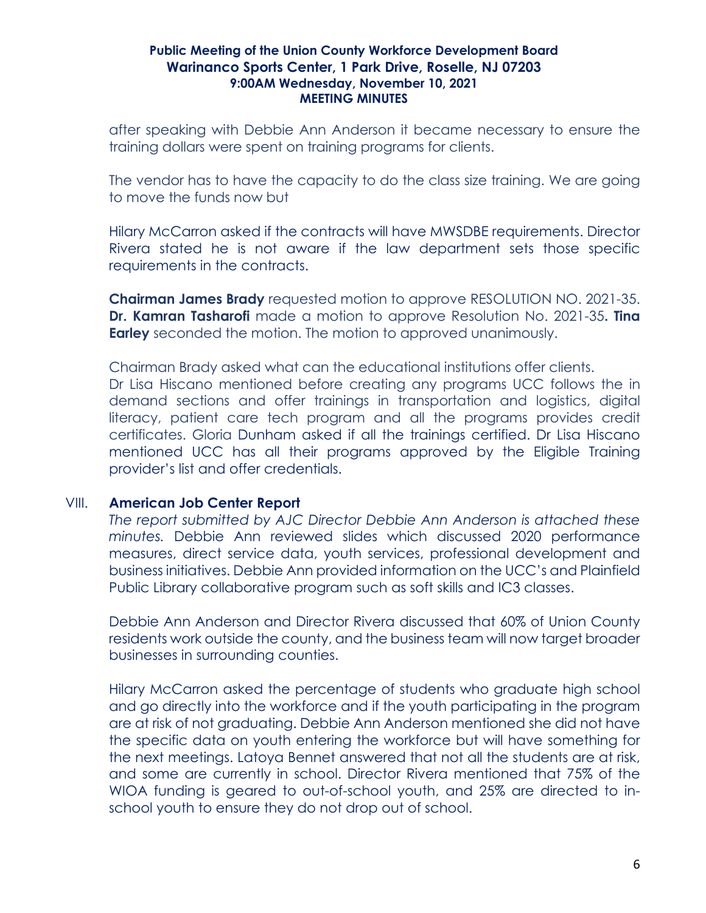after speaking with Debbie Ann Anderson it became necessary to ensure the training dollars were spent on training programs for clients.

The vendor has to have the capacity to do the class size training. We are going to move the funds now but

Hilary McCarron asked if the contracts will have MWSDBE requirements. Director Rivera stated he is not aware if the law department sets those specific requirements in the contracts.

**Chairman James Brady** requested motion to approve RESOLUTION NO. 2021-35. **Dr. Kamran Tasharofi** made a motion to approve Resolution No. 2021-35**. Tina Earley** seconded the motion. The motion to approved unanimously.

Chairman Brady asked what can the educational institutions offer clients. Dr Lisa Hiscano mentioned before creating any programs UCC follows the in demand sections and offer trainings in transportation and logistics, digital literacy, patient care tech program and all the programs provides credit certificates. Gloria Dunham asked if all the trainings certified. Dr Lisa Hiscano mentioned UCC has all their programs approved by the Eligible Training provider's list and offer credentials.

# VIII. **American Job Center Report**

*The report submitted by AJC Director Debbie Ann Anderson is attached these minutes.* Debbie Ann reviewed slides which discussed 2020 performance measures, direct service data, youth services, professional development and business initiatives. Debbie Ann provided information on the UCC's and Plainfield Public Library collaborative program such as soft skills and IC3 classes.

Debbie Ann Anderson and Director Rivera discussed that 60% of Union County residents work outside the county, and the business team will now target broader businesses in surrounding counties.

Hilary McCarron asked the percentage of students who graduate high school and go directly into the workforce and if the youth participating in the program are at risk of not graduating. Debbie Ann Anderson mentioned she did not have the specific data on youth entering the workforce but will have something for the next meetings. Latoya Bennet answered that not all the students are at risk, and some are currently in school. Director Rivera mentioned that 75% of the WIOA funding is geared to out-of-school youth, and 25% are directed to inschool youth to ensure they do not drop out of school.